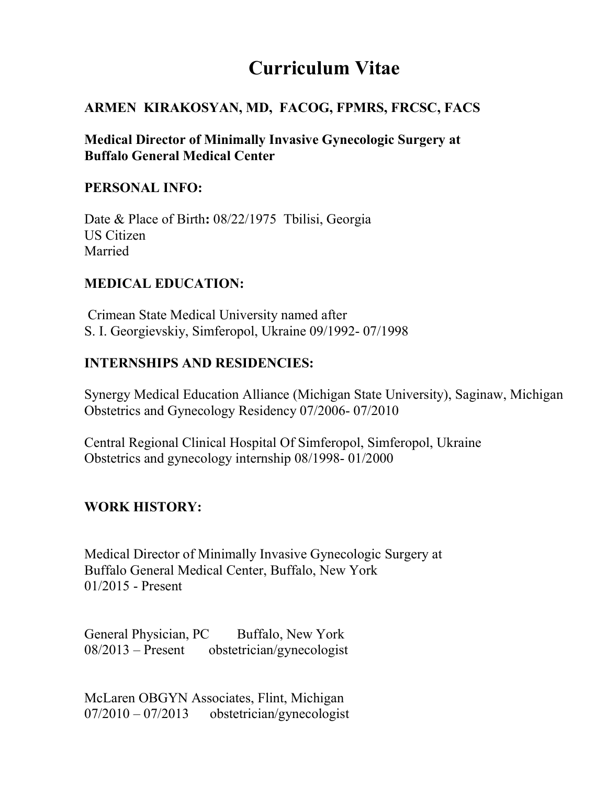# Curriculum Vitae

#### ARMEN KIRAKOSYAN, MD, FACOG, FPMRS, FRCSC, FACS

Medical Director of Minimally Invasive Gynecologic Surgery at Buffalo General Medical Center

#### PERSONAL INFO:

Date & Place of Birth: 08/22/1975 Tbilisi, Georgia US Citizen Married

#### MEDICAL EDUCATION:

 Crimean State Medical University named after S. I. Georgievskiy, Simferopol, Ukraine 09/1992- 07/1998

#### INTERNSHIPS AND RESIDENCIES:

Synergy Medical Education Alliance (Michigan State University), Saginaw, Michigan Obstetrics and Gynecology Residency 07/2006- 07/2010

Central Regional Clinical Hospital Of Simferopol, Simferopol, Ukraine Obstetrics and gynecology internship 08/1998- 01/2000

## WORK HISTORY:

Medical Director of Minimally Invasive Gynecologic Surgery at Buffalo General Medical Center, Buffalo, New York 01/2015 - Present

General Physician, PC Buffalo, New York 08/2013 – Present obstetrician/gynecologist

McLaren OBGYN Associates, Flint, Michigan 07/2010 – 07/2013 obstetrician/gynecologist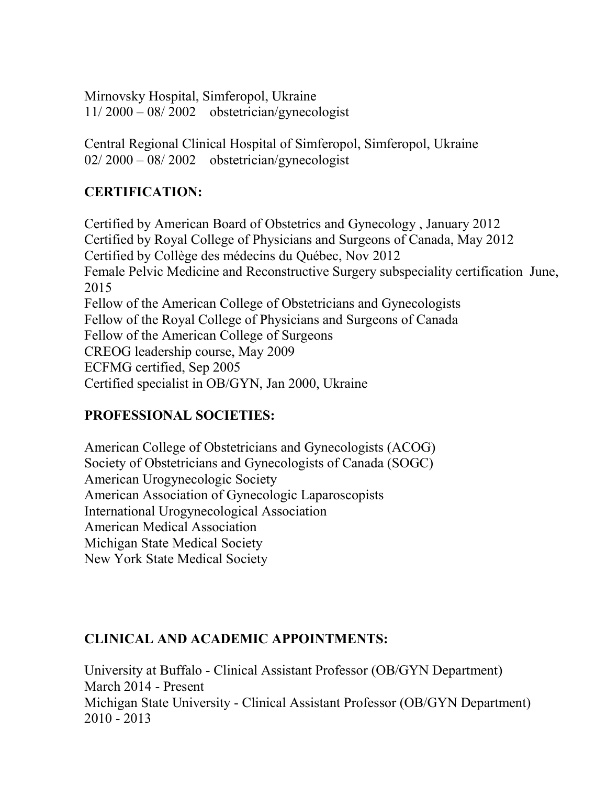Mirnovsky Hospital, Simferopol, Ukraine 11/ 2000 – 08/ 2002 obstetrician/gynecologist

Central Regional Clinical Hospital of Simferopol, Simferopol, Ukraine 02/ 2000 – 08/ 2002 obstetrician/gynecologist

# CERTIFICATION:

Certified by American Board of Obstetrics and Gynecology , January 2012 Certified by Royal College of Physicians and Surgeons of Canada, May 2012 Certified by Collège des médecins du Québec, Nov 2012 Female Pelvic Medicine and Reconstructive Surgery subspeciality certification June, 2015 Fellow of the American College of Obstetricians and Gynecologists Fellow of the Royal College of Physicians and Surgeons of Canada Fellow of the American College of Surgeons CREOG leadership course, May 2009 ECFMG certified, Sep 2005 Certified specialist in OB/GYN, Jan 2000, Ukraine

# PROFESSIONAL SOCIETIES:

American College of Obstetricians and Gynecologists (ACOG) Society of Obstetricians and Gynecologists of Canada (SOGC) American Urogynecologic Society American Association of Gynecologic Laparoscopists International Urogynecological Association American Medical Association Michigan State Medical Society New York State Medical Society

# CLINICAL AND ACADEMIC APPOINTMENTS:

University at Buffalo - Clinical Assistant Professor (OB/GYN Department) March 2014 - Present Michigan State University - Clinical Assistant Professor (OB/GYN Department) 2010 - 2013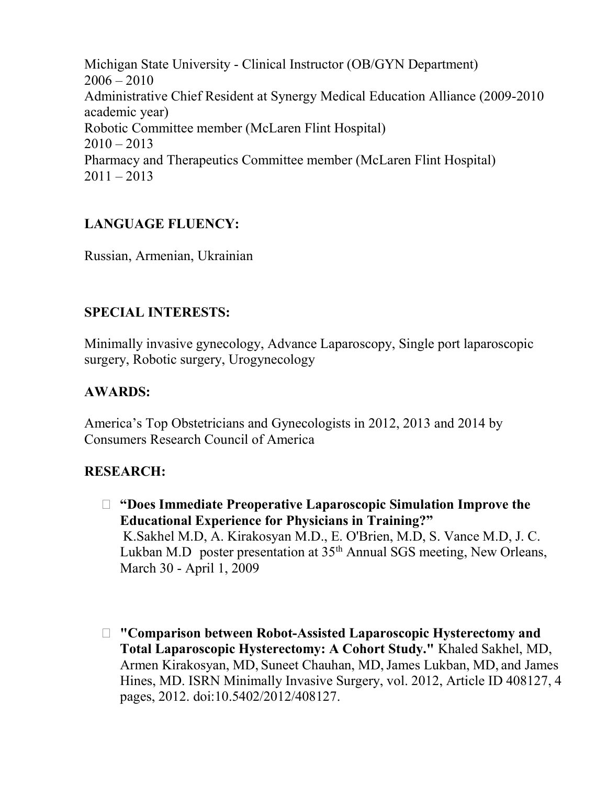Michigan State University - Clinical Instructor (OB/GYN Department)  $2006 - 2010$ Administrative Chief Resident at Synergy Medical Education Alliance (2009-2010 academic year) Robotic Committee member (McLaren Flint Hospital)  $2010 - 2013$ Pharmacy and Therapeutics Committee member (McLaren Flint Hospital)  $2011 - 2013$ 

# LANGUAGE FLUENCY:

Russian, Armenian, Ukrainian

## SPECIAL INTERESTS:

Minimally invasive gynecology, Advance Laparoscopy, Single port laparoscopic surgery, Robotic surgery, Urogynecology

## AWARDS:

America's Top Obstetricians and Gynecologists in 2012, 2013 and 2014 by Consumers Research Council of America

## RESEARCH:

- "Does Immediate Preoperative Laparoscopic Simulation Improve the Educational Experience for Physicians in Training?" K.Sakhel M.D, A. Kirakosyan M.D., E. O'Brien, M.D, S. Vance M.D, J. C. Lukban M.D poster presentation at  $35<sup>th</sup>$  Annual SGS meeting, New Orleans, March 30 - April 1, 2009
- "Comparison between Robot-Assisted Laparoscopic Hysterectomy and Total Laparoscopic Hysterectomy: A Cohort Study." Khaled Sakhel, MD, Armen Kirakosyan, MD, Suneet Chauhan, MD, James Lukban, MD, and James Hines, MD. ISRN Minimally Invasive Surgery, vol. 2012, Article ID 408127, 4 pages, 2012. doi:10.5402/2012/408127.